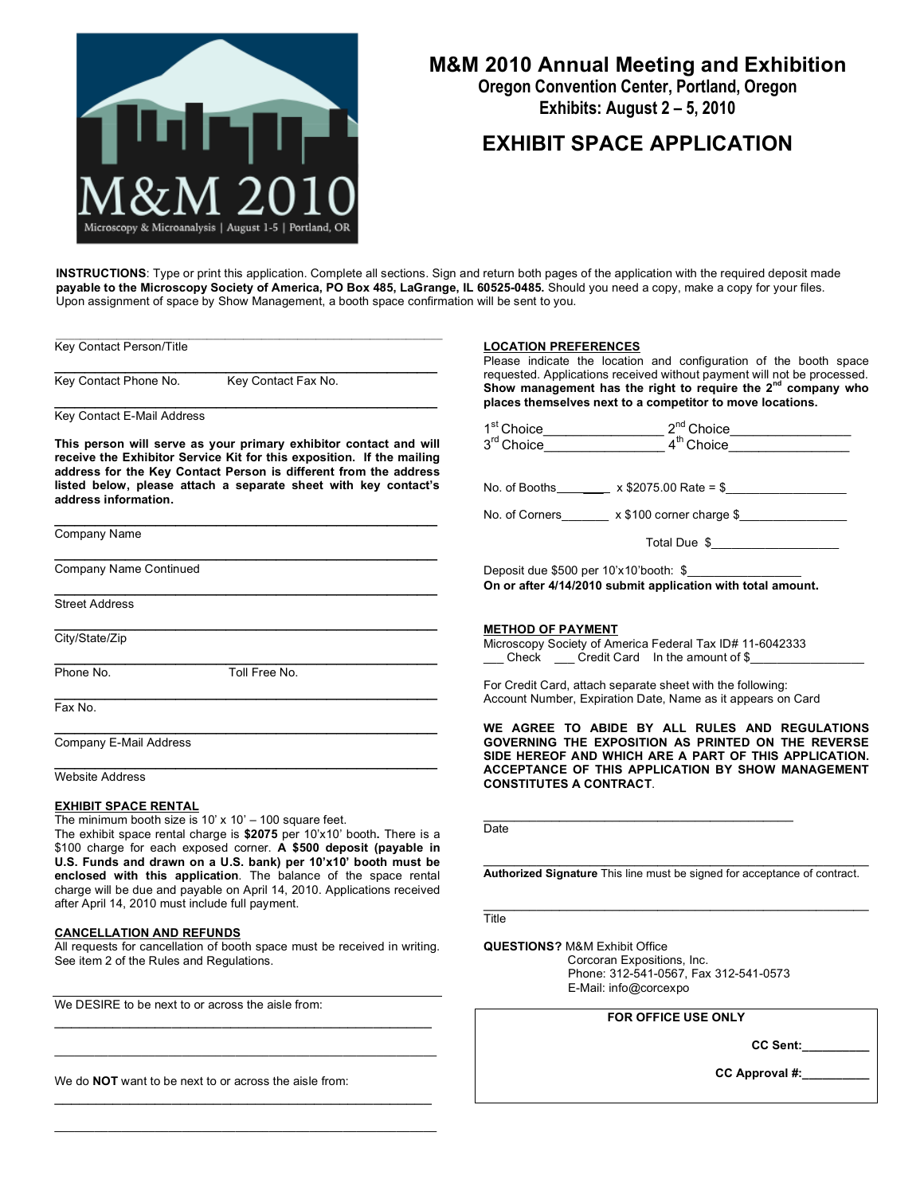

# **M&M 2010 Annual Meeting and Exhibition**

**Oregon Convention Center, Portland, Oregon Exhibits: August 2 – 5, 2010**

## **EXHIBIT SPACE APPLICATION**

**INSTRUCTIONS**: Type or print this application. Complete all sections. Sign and return both pages of the application with the required deposit made **payable to the Microscopy Society of America, PO Box 485, LaGrange, IL 60525-0485.** Should you need a copy, make a copy for your files. Upon assignment of space by Show Management, a booth space confirmation will be sent to you.

Key Contact Person/Title

 $\mathcal{L}_\text{max}$  and  $\mathcal{L}_\text{max}$  and  $\mathcal{L}_\text{max}$  and  $\mathcal{L}_\text{max}$ Key Contact Phone No. Key Contact Fax No.

\_\_\_\_\_\_\_\_\_\_\_\_\_\_\_\_\_\_\_\_\_\_\_\_\_\_\_\_\_\_\_\_\_\_\_\_\_\_ Key Contact E-Mail Address

**This person will serve as your primary exhibitor contact and will receive the Exhibitor Service Kit for this exposition. If the mailing address for the Key Contact Person is different from the address listed below, please attach a separate sheet with key contact's address information.**

\_\_\_\_\_\_\_\_\_\_\_\_\_\_\_\_\_\_\_\_\_\_\_\_\_\_\_\_\_\_\_\_\_\_\_\_\_\_

\_\_\_\_\_\_\_\_\_\_\_\_\_\_\_\_\_\_\_\_\_\_\_\_\_\_\_\_\_\_\_\_\_\_\_\_\_\_

 $\mathcal{L}_\text{max}$  and  $\mathcal{L}_\text{max}$  and  $\mathcal{L}_\text{max}$  and  $\mathcal{L}_\text{max}$ 

\_\_\_\_\_\_\_\_\_\_\_\_\_\_\_\_\_\_\_\_\_\_\_\_\_\_\_\_\_\_\_\_\_\_\_\_\_\_

\_\_\_\_\_\_\_\_\_\_\_\_\_\_\_\_\_\_\_\_\_\_\_\_\_\_\_\_\_\_\_\_\_\_\_\_\_\_

 $\mathcal{L}_\text{max} = \frac{1}{2} \sum_{i=1}^n \mathcal{L}_\text{max}(\mathbf{z}_i - \mathbf{z}_i)$ 

Company Name

Company Name Continued

Street Address

\_\_\_\_\_\_\_\_\_\_\_\_\_\_\_\_\_\_\_\_\_\_\_\_\_\_\_\_\_\_\_\_\_\_\_\_\_\_ City/State/Zip

Phone No. Toll Free No.

 $\mathcal{L}_\text{max}$  and  $\mathcal{L}_\text{max}$  and  $\mathcal{L}_\text{max}$  and  $\mathcal{L}_\text{max}$ 

Fax No.

Company E-Mail Address

\_\_\_\_\_\_\_\_\_\_\_\_\_\_\_\_\_\_\_\_\_\_\_\_\_\_\_\_\_\_\_\_\_\_\_\_\_\_ Website Address

#### **EXHIBIT SPACE RENTAL**

The minimum booth size is  $10' \times 10' - 100$  square feet. The exhibit space rental charge is **\$2075** per 10'x10' booth**.** There is a \$100 charge for each exposed corner. **A \$500 deposit (payable in U.S. Funds and drawn on a U.S. bank) per 10'x10' booth must be enclosed with this application**. The balance of the space rental charge will be due and payable on April 14, 2010. Applications received after April 14, 2010 must include full payment.

#### **CANCELLATION AND REFUNDS**

All requests for cancellation of booth space must be received in writing. See item 2 of the Rules and Regulations.

\_\_\_\_\_\_\_\_\_\_\_\_\_\_\_\_\_\_\_\_\_\_\_\_\_\_\_\_\_\_\_\_\_\_\_\_\_\_\_\_\_\_\_\_\_  $\mathcal{L}_\text{max}$  and  $\mathcal{L}_\text{max}$  and  $\mathcal{L}_\text{max}$  and  $\mathcal{L}_\text{max}$  and  $\mathcal{L}_\text{max}$ 

\_\_\_\_\_\_\_\_\_\_\_\_\_\_\_\_\_\_\_\_\_\_\_\_\_\_\_\_\_\_\_\_\_\_\_\_\_\_\_\_\_\_\_\_\_  $\mathcal{L}_\text{max}$  and  $\mathcal{L}_\text{max}$  and  $\mathcal{L}_\text{max}$  and  $\mathcal{L}_\text{max}$  and  $\mathcal{L}_\text{max}$ 

We DESIRE to be next to or across the aisle from:

We do **NOT** want to be next to or across the aisle from:

#### **LOCATION PREFERENCES**

Please indicate the location and configuration of the booth space requested. Applications received without payment will not be processed. **Show management has the right to require the 2nd company who places themselves next to a competitor to move locations.**

|                                                             | 1 <sup>st</sup> Choice_____________________2 <sup>nd</sup> Choice_________________<br>3 <sup>rd</sup> Choice_____________________4 <sup>th</sup> Choice___________________ |
|-------------------------------------------------------------|----------------------------------------------------------------------------------------------------------------------------------------------------------------------------|
|                                                             |                                                                                                                                                                            |
|                                                             |                                                                                                                                                                            |
|                                                             | No. of Corners _______ x \$100 corner charge \$________________                                                                                                            |
|                                                             | Total Due \$                                                                                                                                                               |
|                                                             | Deposit due \$500 per 10'x10'booth: \$                                                                                                                                     |
| On or after 4/14/2010 submit application with total amount. |                                                                                                                                                                            |
|                                                             |                                                                                                                                                                            |
| <b>METHOD OF PAYMENT</b>                                    |                                                                                                                                                                            |

Microscopy Society of America Federal Tax ID# 11-6042333 Check \_\_\_\_\_ Credit Card In the amount of \$\_

\_\_\_\_\_\_\_\_\_\_\_\_\_\_\_\_\_\_\_\_\_\_\_\_\_\_\_\_\_\_\_\_\_\_\_\_\_\_\_\_\_

For Credit Card, attach separate sheet with the following: Account Number, Expiration Date, Name as it appears on Card

**WE AGREE TO ABIDE BY ALL RULES AND REGULATIONS GOVERNING THE EXPOSITION AS PRINTED ON THE REVERSE SIDE HEREOF AND WHICH ARE A PART OF THIS APPLICATION. ACCEPTANCE OF THIS APPLICATION BY SHOW MANAGEMENT CONSTITUTES A CONTRACT**.

**Date** 

 $\_$  , and the set of the set of the set of the set of the set of the set of the set of the set of the set of the set of the set of the set of the set of the set of the set of the set of the set of the set of the set of th **Authorized Signature** This line must be signed for acceptance of contract.

\_\_\_\_\_\_\_\_\_\_\_\_\_\_\_\_\_\_\_\_\_\_\_\_\_\_\_\_\_\_\_\_\_\_\_\_\_\_\_\_\_\_\_\_\_\_\_\_\_\_\_ **Title** 

**QUESTIONS?** M&M Exhibit Office

Corcoran Expositions, Inc. Phone: 312-541-0567, Fax 312-541-0573 E-Mail: info@corcexpo

### **FOR OFFICE USE ONLY**

**CC Sent:\_\_\_\_\_\_\_\_\_\_**

**CC Approval #:\_\_\_\_\_\_\_\_\_\_**